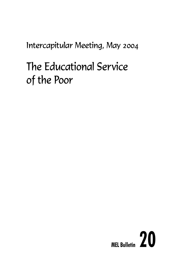Intercapitular Meeting, May 2004

# The Educational Service of the Poor

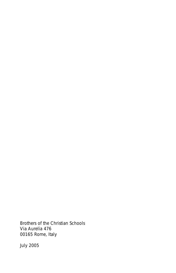Brothers of the Christian Schools Via Aurelia 476 00165 Rome, Italy

July 2005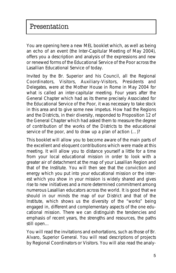You are opening here a new MEL booklet which, as well as being an echo of an event (the Inter-Capitular Meeting of May 2004), offers you a description and analysis of the expressions and new or renewed forms of the Educational Service of the Poor across the Lasallian Educational Service of today.

Invited by the Br. Superior and his Council, all the Regional Coordinators, Visitors, Auxiliary-Visitors, Presidents and Delegates, were at the Mother House in Rome in May 2004 for what is called an inter-capitular meeting. Four years after the General Chapter which had as its theme precisely *Associated for the Educational Service of the Poor*, it was necessary to take stock in this area and to give some new impetus. How had the Regions and the Districts, in their diversity, responded to Proposition 12 of the General Chapter which had asked them *to measure the degree of contribution of the works of the Districts to the educational service of the poor*, and *to draw up a plan of action (…)?*

This booklet will allow you to become aware of the main parts of the excellent and eloquent contributions which were made at this meeting. It will allow you to distance yourself a little for a time from your local educational mission in order to look with a greater air of detachment at the map of your Lasallian Region and that of the Institute. You will then see that the conviction and energy which you put into your educational mission or the interest which you show in your mission is widely shared and gives rise to new initiatives and a more determined commitment among numerous Lasallian educators across the world. It is good that we should in our minds the map of our District and that of the Institute, which shows us the diversity of the "works" being engaged in, different and complementary aspects of the one educational mission. There we can distinguish the tendencies and emphasis of recent years, the strengths and resources, the paths still open…

You will read the invitations and exhortations, such as those of Br. Alvaro, Superior General. You will read descriptions of projects by Regional Coordinators or Visitors. You will also read the analy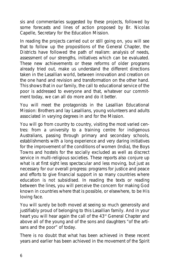sis and commentaries suggested by these projects, followed by some forecasts and lines of action proposed by Br. Nicolas Capelle, Secretary for the Education Mission.

In reading the projects carried out or still going on, you will see that to follow up the propositions of the General Chapter, the Districts have followed the path of realism: analysis of needs, assessment of our strengths, initiatives which can be evaluated. These new achievements or these reforms of older programs already tried out, make us understand the different directions taken in the Lasallian world, between innovation and creation on the one hand and revision and transformation on the other hand. This shows that in our family, the call to educational service of the poor is addressed to everyone and that, whatever our commitment today, we can all do more and do it better.

You will meet the protagonists in the Lasallian Educational Mission: Brothers and lay Lasallians, young volunteers and adults associated in varying degrees in and for the Mission.

You will go from country to country, visiting the most varied centres: from a university to a training centre for indigenous Australians, passing through primary and secondary schools, establishments with a long experience and very daring initiatives for the improvement of the conditions of women (India), the Boys Towns and hostels for the socially excluded as well as discrect service in multi-religious societies. These reports also conjure up what is at first sight less spectacular and less moving, but just as necessary for our overall progress: programs for justice and peace and efforts to give financial support in so many countries where education is not subsidised. In reading the texts or reading between the lines, you will perceive the concern for making God known in countries where that is possible, or elsewhere, to be His loving face.

You will surely be both moved at seeing so much generosity and justifiably proud of belonging to this Lasallian family. And in your heart you will hear again the call of the 43<sup>rd</sup> General Chapter and above all of the young and of the sons and daughters *"of the artisans and the poor"* of today.

There is no doubt that what has been achieved in these recent years and earlier has been achieved in the movement of the Spirit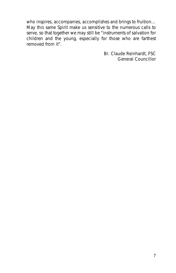who inspires, accompanies, accomplishes and brings to fruition… May this same Spirit make us sensitive to the numerous calls to serve, so that together we may still be *"instruments of salvation for children and the young, especially for those who are farthest removed from it"*.

> Br. Claude Reinhardt, FSC *General Councillor*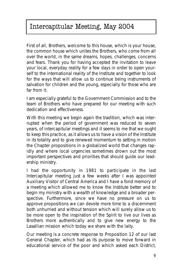## Intercapitular Meeting, May 2004

First of all, Brothers, welcome to this house, which is your house, the common house which unites the Brothers, who come from all over the world, in the same dreams, hopes, challenges, concerns and fears. Thank you for having accepted the invitation to leave your local, everyday reality for a few days in order to open yourself to the international reality of the Institute and together to look for the ways that will allow us to continue being instruments of salvation for children and the young, especially for those who are far from it.

I am especially grateful to the Government Commission and to the team of Brothers who have prepared for our meeting with such dedication and effectiveness.

With this meeting we begin again the tradition, which was interrupted when the period of government was reduced to seven years, of intercapitular meetings and it seems to me that we ought to keep this practice, as it allows us to have a vision of the Institute in its totality and to give renewed momentum to setting in motion the Chapter propositions in a globalized world that changes rapidly and where local urgencies sometimes drown out the most important perspectives and priorities that should guide our leadership ministry.

I had the opportunity in 1981 to participate in the last Intercapitular meeting just a few weeks after I was appointed Auxiliary Visitor of Central America and I have a fond memory of a meeting which allowed me to know the Institute better and to begin my ministry with a wealth of knowledge and a broader perspective. Furthermore, since we have no pressure on us to approve propositions we can devote more time to a discernment both unhurried and without tension which will surely allow us to be more open to the inspiration of the Spirit to live our lives as Brothers more authentically and to give new energy to the Lasallian mission which today we share with the laity.

Our meeting is a concrete response to Proposition 12 of our last General Chapter, which had as its purpose to move forward in educational service of the poor and which asked each District,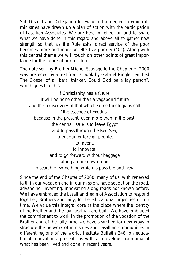Sub-District and Delegation to evaluate the degree to which its ministries have drawn up a plan of action with the participation of Lasallian Associates. We are here to reflect on and to share what we have done in this regard and above all to gather new strength so that, as the *Rule* asks, *direct service of the poor becomes more and more an effective priority (40a)*. Along with this central theme we will touch on other points of great importance for the future of our Institute.

The note sent by Brother Michel Sauvage to the Chapter of 2000 was preceded by a text from a book by Gabriel Ringlet, entitled *The Gospel of a liberal thinker, Could God be a lay person?*, which goes like this:

*If Christianity has a future, it will be none other than a vagabond future and the rediscovery of that which some theologians call "the essence of Exodus" because in the present, even more than in the past, the central issue is to leave Egypt and to pass through the Red Sea, to encounter foreign people, to invent, to innovate, and to go forward without baggage along an unknown road in search of something which is possible and new.*

Since the end of the Chapter of 2000, many of us, with renewed faith in our vocation and in our mission, have set out on the road, advancing, inventing, innovating along roads not known before. We have embraced the Lasallian dream of Association to respond together, Brothers and laity, to the educational urgencies of our time. We value this integral core as the place where the identity of the Brother and the lay Lasallian are built. We have embraced the commitment to work in the promotion of the vocation of the Brother and of the laity. And we have searched for new ways to structure the network of ministries and Lasallian communities in different regions of the world. Institute Bulletin 248, on educational innovations, presents us with a marvelous panorama of what has been lived and done in recent years.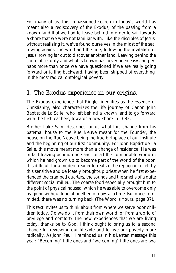For many of us, this impassioned search in today's world has meant also a rediscovery of the Exodus, of the passing from a known land that we had to leave behind in order to sail towards a shore that we were not familiar with. Like the disciples of Jesus, without realizing it, we've found ourselves in the midst of the sea. rowing against the wind and the tide, following the invitation of Jesus, rowing far out to discover another land. Leaving behind the shore of security and what is known has never been easy and perhaps more than once we have questioned if we are really going forward or falling backward, having been stripped of everything, in the most radical ontological poverty.

## 1. The Exodus experience in our origins.

The Exodus experience that Ringlet identifies as the essence of Christianity, also characterizes the life journey of Canon John Baptist de La Salle, who left behind a known land to go forward with the first teachers, towards a new shore in 1682.

Brother Luke Salm describes for us what this change from his paternal house to the Rue Neuve meant for the Founder, the house on the Rue Neuve being the true birthplace of our Institute and the beginning of our first community: *For John Baptist de La Salle, this move meant more than a change of residence. He was in fact leaving behind once and for all the comfortable world in which he had grown up to become part of the world of the poor. It is difficult for a modern reader to realize the repugnance felt by this sensitive and delicately brought-up priest when he first experienced the cramped quarters, the sounds and the smells of a quite different social milieu. The coarse food especially brought him to the point of physical nausea, which he was able to overcome only by going without food altogether for days at a time. But once committed, there was no turning back (The Work is Yours, page 37)*.

This text invites us to think about from where we serve poor children today. Do we do it from their own world, or from a world of privilege and comfort? The new experiences that we are living today, thanks be to God, I think ought to bring us to a second chance for reviewing our lifestyle and to live our poverty more radically. As John Paul II reminded us in his Lenten message this year: *"Becoming" little ones and "welcoming" little ones are two*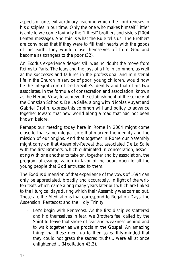*aspects of one, extraordinary teaching which the Lord renews to his disciples in our time. Only the one who makes himself "little" is able to welcome lovingly the "littlest" brothers and sisters* (2004 Lenten message). And this is what the Rule tells us: *The Brothers are convinced that if they were to fill their hearts with the goods of this earth, they would close themselves off from God and become as strangers to the poor* (32).

An Exodus experience deeper still was no doubt the move from Reims to Paris. The fears and the joys of a life in common, as well as the successes and failures in the professional and ministerial life in the Church in service of poor, young children, would now be the integral core of De La Salle's identity and that of his two associates. In the formula of consecration and association, known as the Heroic Vow, to achieve the establishment of the society of the Christian Schools, De La Salle, along with Nicolas Vuyart and Gabriel Drolin, express this common will and policy to advance together toward that new world along a road that had not been known before.

Perhaps our meeting today here in Rome in 2004 might come close to that same integral core that marked the identity and the mission of our origins. And that together in Rome our Assembly might carry on that Assembly-Retreat that associated De La Salle with the first Brothers, which culminated in consecration, associating with one another to take on, together and by association, the program of evangelization in favor of the poor, open to all the young people that God entrusted to them.

The Exodus dimension of that experience of the vows of 1694 can only be appreciated, broadly and accurately, in light of the written texts which came along many years later but which are linked to the liturgical days during which their Assembly was carried out. These are the *Meditations* that correspond to *Rogation Days, the Ascension, Pentecost and the Holy Trinity*.

– Let's begin with *Pentecost*. As the first disciples scattered and hid themselves in fear, we Brothers feel called by the Spirit to leave that shore of fear and weakness behind and to walk together as we proclaim the Gospel: *An amazing thing: that these men, up to then so earthly-minded that they could not grasp the sacred truths... were all at once enlightened... (Meditation 43.3).*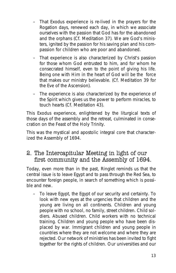- That Exodus experience is re-lived in the prayers for the Rogation days, renewed each day, in which we associate ourselves with the passion that God has for the *abandoned and the orphans* (Cf. Meditation 37). We are God's ministers, ignited by the passion for his saving plan and his compassion for children who are poor and abandoned.
- That experience is also characterized by Christ's passion for those whom God entrusted to him, and for whom he consecrated himself, even to the point of giving his life. Being one with Him in the heart of God will be the force that makes our ministry believable. (Cf. Meditation 39 for the Eve of the Ascension).
- The experience is also characterized by the experience of the Spirit which gives us the power to perform miracles, to touch hearts (Cf. Meditation 43).

This Exodus experience, enlightened by the liturgical texts of those days of the assembly and the retreat, culminated in consecration on the *Feast of the Holy Trinity*.

This was the mystical and apostolic integral core that characterized the Assembly of 1694.

## 2. The Intercapitular Meeting in light of our first community and the Assembly of 1694.

Today, even more than in the past, Ringlet reminds us that the central issue is *to leave Egypt and to pass through the Red Sea, to encounter foreign people*, in search of something which is *possible and new*.

– *To leave Egypt*, the Egypt of our security and certainty. To look with new eyes at the urgencies that children and the young are living on all continents. Children and young people with no school, no family, street children. Child soldiers. Abused children. Child workers with no technical training. Children and young people who have been displaced by war. Immigrant children and young people in countries where they are not welcome and where they are rejected. Our network of ministries has been invited to fight together for the rights of children. Our universities and our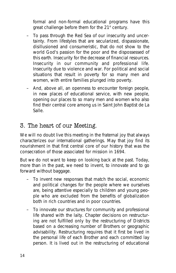formal and non-formal educational programs have this great challenge before them for the  $21<sup>st</sup>$  century.

- *To pass through the Red Sea* of our insecurity and uncertainty. From lifestyles that are secularized, dispassionate, disillusioned and consumeristic, that do not show to the world God's passion for the poor and the dispossessed of this earth. Insecurity for the decrease of financial resources. Insecurity in our community and professional life. Insecurity due to violence and war. For political and social situations that result in poverty for so many men and women, with entire families plunged into poverty.
- And, above all, an openness to encounter *foreign people*, in new places of educational service, with new people, opening our places to so many men and women who also find their central core among us in Saint John Baptist de La Salle.

## 3. The heart of our Meeting.

We will no doubt live this meeting in the fraternal joy that always characterizes our international gatherings. May that joy find its nourishment in that first central core of our history that was the consecration of those associated for mission in 1694.

But we do not want to keep on looking back at the past. Today, more than in the past, we need *to invent, to innovate and to go forward without baggage*.

- *To invent* new responses that match the social, economic and political changes for the people where we ourselves are, being attentive especially to children and young people who are excluded from the benefits of globalization both in rich countries and in poor countries.
- *To innovate* our structures for community and professional life shared with the laity. Chapter decisions on restructuring are not fulfilled only by the restructuring of Districts based on a decreasing number of Brothers or geographic advisability. Restructuring requires that it first be lived in the personal life of each Brother and each committed lay person. It is lived out in the restructuring of educational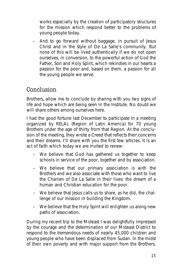works especially by the creation of participatory structures for the mission which respond better to the problems of young people today.

– And *to go forward without baggage*, in pursuit of Jesus Christ and in the style of De La Salle's community. But none of this will be lived authentically if we do not open ourselves, in conversion, to the powerful action of God the Father, Son and Holy Spirit, which rekindles in our hearts a passion for the poor and, based on them, a passion for all the young people we serve.

## Conclusion

Brothers, allow me to conclude by sharing with you two signs of life and hope which are being seen in the Institute. No doubt we will share others among ourselves here.

I had the good fortune last December to participate in a meeting organized by RELAL (Region of Latin America) for 70 young Brothers under the age of thirty from that Region. At the conclusion of the meeting, they wrote a Creed that reflects their concerns and their dreams. I'll share with you the first few articles. It is an act of faith which today we are invited to renew:

- *We believe that God has gathered us together to keep schools in service of the poor, together and by association.*
- *We believe that our primary association is with the Brothers and we also associate with those who want to live the Charism of De La Salle in their lives: the dream of a human and Christian education for the poor.*
- *We believe that Jesus calls us to share, as he did, the challenge of our mission in building the Kingdom.*
- *We believe that the Holy Spirit will enlighten us along new paths of association.*

During my recent trip to the Mideast I was delightfully impressed by the courage and the determination of our Mideast District to respond to the tremendous needs of nearly 45,000 children and young people who have been displaced from Sudan. In the midst of their own poverty and with major support from the Brothers,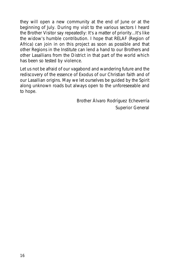they will open a new community at the end of June or at the beginning of July. During my visit to the various sectors I heard the Brother Visitor say repeatedly: *It's a matter of priority...It's like the widow's humble contribution*. I hope that RELAF (Region of Africa) can join in on this project as soon as possible and that other Regions in the Institute can lend a hand to our Brothers and other Lasallians from the District in that part of the world which has been so tested by violence.

Let us not be afraid of our *vagabond and wandering future* and the rediscovery of the essence of Exodus of our Christian faith and of our Lasallian origins. May we let ourselves be guided by the Spirit along unknown roads but always open to the unforeseeable and to hope.

> Brother Álvaro Rodríguez Echeverría Superior General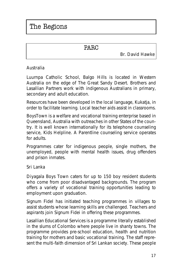## PARC

Br. David Hawke

## **Australia**

Luurnpa Catholic School, Balgo Hills is located in Western Australia on the edge of The Great Sandy Desert. Brothers and Lasallian Partners work with indigenous Australians in primary, secondary and adult education.

Resources have been developed in the local language, Kukatja, in order to facilitate learning. Local teacher aids assist in classrooms.

BoysTown is a welfare and vocational training enterprise based in Queensland, Australia with outreaches in other States of the country. It is well known internationally for its telephone counseling service, Kids Helpline. A Parentline counseling service operates for adults.

Programmes cater for indigenous people, single mothers, the unemployed, people with mental health issues, drug offenders and prison inmates.

## **Sri Lanka**

Diyagala Boys Town caters for up to 150 boy resident students who come from poor disadvantaged backgrounds. The program offers a variety of vocational training opportunities leading to employment upon graduation.

Signum Fidel has initiated teaching programmes in villages to assist students whose learning skills are challenged. Teachers and aspirants join Signum Fidei in offering these programmes.

Lasallian Educational Services is a programme literally established in the slums of Colombo where people live in shanty towns. The programme provides pre-school education, health and nutrition training for mothers and basic vocational training. The staff represent the multi-faith dimension of Sri Lankan society. These people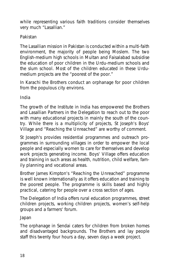while representing various faith traditions consider themselves very much "Lasallian."

## **Pakistan**

The Lasallian mission in Pakistan is conducted within a multi-faith environment, the majority of people being Moslem. The two English-medium high schools in Multan and Faisalabad subsidise the education of poor children in the Urdu-medium schools and the slum school. Most of the children educated in these Urdumedium projects are the "poorest of the poor."

In Karachi the Brothers conduct an orphanage for poor children from the populous city environs.

## **India**

The growth of the Institute in India has empowered the Brothers and Lasallian Partners in the Delegation to reach out to the poor with many educational projects in mainly the south of the country. While there is a multiplicity of projects, St Joseph's Boys' Village and "Reaching the Unreached" are worthy of comment.

St Joseph's provides residential programmes and outreach programmes in surrounding villages in order to empower the local people and especially women to care for themselves and develop work projects generating income. Boys' Village offers education and training in such areas as health, nutrition, child welfare, family planning and vocational areas.

Brother James Kimpton's "Reaching the Unreached" programme is well known internationally as it offers education and training to the poorest people. The programme is skills based and highly practical, catering for people over a cross section of ages.

The Delegation of India offers rural education programmes, street children projects, working children projects, women's self-help groups and a farmers' forum.

## **Japan**

The orphanage in Sendai caters for children from broken homes and disadvantaged backgrounds. The Brothers and lay people staff this twenty four hours a day, seven days a week project.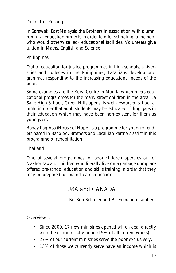## **District of Penang**

In Sarawak, East Malaysia the Brothers in association with alumni run rural education projects in order to offer schooling to the poor who would otherwise lack educational facilities. Volunteers give tuition in Maths, English and Science.

## **Philippines**

Out of education for justice programmes in high schools, universities and colleges in the Philippines, Lasallians develop programmes responding to the increasing educational needs of the poor.

Some examples are the Kuya Centre in Manila which offers educational programmes for the many street children in the area; La Salle High School, Green Hills opens its well-resourced school at night in order that adult students may be educated, filling gaps in their education which may have been non-existent for them as youngsters.

Bahay Pag-Asa (House of Hope) is a programme for young offenders based in Bacolod. Brothers and Lasallian Partners assist in this programme of rehabilitation.

## **Thailand**

One of several programmes for poor children operates out of Nakhonsawan. Children who literally live on a garbage dump are offered pre-school education and skills training in order that they may be prepared for mainstream education.

## USA and CANADA

Br. Bob Schieler and Br. Fernando Lambert

## **Overview…**

- Since 2000, 17 new ministries opened which deal directly with the economically poor. (15% of all current works).
- 27% of our current ministries serve the poor exclusively.
- 13% of those we currently serve have an income which is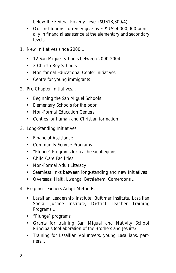below the Federal Poverty Level (\$US18,800/4).

• Our Institutions currently give over \$US24,000,000 annually in financial assistance at the elementary and secondary levels.

## **1. New Initiatives since 2000…**

- 12 San Miguel Schools between 2000-2004
- 2 Christo Rey Schools
- Non-formal Educational Center Initiatives
- Centre for young immigrants

## **2. Pre-Chapter Initiatives…**

- Beginning the San Miguel Schools
- Elementary Schools for the poor
- Non-Formal Education Centers
- Centres for human and Christian formation

## **3. Long-Standing Initiatives**

- Financial Assistance
- Community Service Programs
- "Plunge" Programs for teachers/collegians
- Child Care Facilities
- Non-Formal Adult Literacy
- Seamless links between long-standing and new Initiatives
- Overseas: Haiti, Lwanga, Bethlehem, Cameroons…

## **4. Helping Teachers Adapt Methods…**

- Lasallian Leadership Institute, Buttimer Institute, Lasallian Social Justice Institute, District Teacher Training Programs…
- "Plunge" programs
- Grants for training San Miguel and Nativity School Principals (collaboration of the Brothers and Jesuits)
- Training for Lasallian Volunteers, young Lasallians, partners…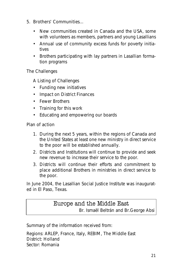### **5. Brothers' Communities…**

- New communities created in Canada and the USA, some with volunteers as members, partners and young Lasallians
- Annual use of community excess funds for poverty initiatives
- Brothers participating with lay partners in Lasallian formation programs

## **The Challenges**

## **A Listing of Challenges**

- Funding new initiatives
- Impact on District Finances
- Fewer Brothers
- Training for this work
- Educating and empowering our boards

## **Plan of action**

- 1. During the next 5 years, within the regions of Canada and the United States at least one new ministry in direct service to the poor will be established annually.
- 2. Districts and Institutions will continue to provide and seek new revenue to increase their service to the poor.
- 3. Districts will continue their efforts and commitment to place additional Brothers in ministries in direct service to the poor.

In June 2004, the Lasallian Social Justice Institute was inaugurated in El Paso, Texas.

## Europe and the Middle East

Br. Ismaël Beltrán and Br.George Absi

Summary of the information received from:

Regions: ARLEP, France, Italy, REBIM, The Middle East District: Holland Sector: Romania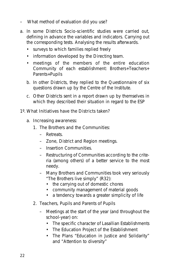#### **– What method of evaluation did you use?**

- a. In some Districts Socio-scientific studies were carried out, defining in advance the variables and indicators. Carrying out the corresponding tests. Analysing the results afterwards.
	- surveys to which families replied freely
	- information developed by the Directing team.
	- meetings of the members of the entire education Community of each establishment: Brothers+Teachers+ Parents+Pupils
	- b. In other Districts, they replied to the Questionnaire of six questions drawn up by the Centre of the Institute.
	- c. Other Districts sent in a report drawn up by themselves in which they described their situation in regard to the ESP

#### **1º. What Initiatives have the Districts taken?**

#### **a. Increasing awareness:**

- 1. The Brothers and the Communities:
	- Retreats.
	- Zone, District and Region meetings.
	- Insertion Communities.
	- Restructuring of Communities according to the criteria (among others) of a better service to the most needy.
	- Many Brothers and Communities took very seriously *"The Brothers live simply"* (R32):
		- the carrying out of domestic chores
		- community management of material goods
		- a tendency towards a greater simplicity of life
- 2. Teachers, Pupils and Parents of Pupils
	- Meetings at the start of the year (and throughout the school-year) on:
		- The specific character of Lasallian Establishments
		- The Education Project of the Establishment
		- The Plans "Education in Justice and Solidarity" and "Attention to diversity"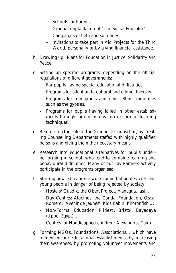- Schools for Parents
- Gradual implantation of "The Social Educator"
- Campaigns of help and solidarity
- Invitations to take part in Aid Projects for the Third World, personally or by giving financial assistance.
- **b. Drawing up "Plans for Education in Justice, Solidarity and Peace"**
- **c. Setting up specific programs,** depending on the official regulations of different governments:
	- For pupils having special educational difficulties.
	- Programs for attention to cultural and ethnic diversity…
	- Programs for immigrants and other ethnic minorities such as the gypsies.
	- Programs for pupils having failed in other establishments through lack of motivation or lack of learning techniques.
- **d. Reinforcing the role of the Guidance Counsellor,** by creating Counselling Departments staffed with highly qualified persons and giving them the necessary means.
- **e. Research into educational alternatives for pupils underperforming in school,** who tend to combine learning and behavioural difficulties. Many of our Lay Partners actively participate in the programs organised.
- **f. Starting new educational works aimed at adolescents and young people in danger of being rejected by society:**
	- Hostels/ Guadix, the Obert Project, Managua, Iasi…
	- Day Centres: Alucinos, the Condal Foundation, Oscar Romero, 'Avenir de Jeunes', Kids Kabin, Khoronfish….
	- Non-Formal Education: Pildesti, Bristol, Bayadaya (Upper Egypt)…
	- Centres for Handicapped children: Alexandria, Cairo
- **g. Forming NGOs, Foundations, Associations…** which have influenced our Educational Establishments, by increasing their awareness, by promoting volunteer movements and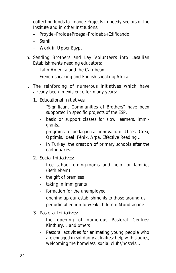collecting funds to finance Projects in needy sectors of the Institute and in other Institutions:

- Proyde+Proide+Proega+Proideba+Edificando
- Semil
- Work in Upper Egypt
- **h. Sending Brothers and Lay Volunteers into Lasallian Establishments needing educators:**
	- Latin America and the Carribean
	- French-speaking and English-speaking Africa
- **i. The reinforcing of numerous initiatives which have already been in existence for many years:**
	- *1. Educational Initiatives:*
		- "Significant Communities of Brothers" have been supported in specific projects of the ESP.
		- basic or support classes for slow learners, immigrants…
		- programs of pedagogical innovation: Ulises, Crea, Optimis, Ideal, Fénix, Arpa, Effective Reading…
		- In Turkey: the creation of primary schools after the earthquakes.

## *2. Social Initiatives:*

- free school dining-rooms and help for families (Bethlehem)
- the gift of premises
- taking in immigrants
- formation for the unemployed
- opening up our establishments to those around us
- periodic attention to weak children: Mondragone

## *3. Pastoral Initiatives:*

- the opening of numerous Pastoral Centres: Kintbury… and others
- Pastoral activities for animating young people who are engaged in solidarity activities: help with studies, welcoming the homeless, social clubs/hostels…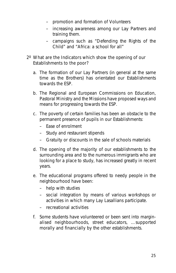- promotion and formation of Volunteers
- increasing awareness among our Lay Partners and training them.
- campaigns such as "Defending the Rights of the Child" and "Africa: a school for all"

## **2º What are the Indicators which show the opening of our Establishments to the poor?**

- a. The formation of our Lay Partners (in general at the same time as the Brothers) has orientated our Establishments towards the ESP.
- b. The Regional and European Commissions on Education, Pastoral Ministry and the Missions have proposed ways and means for progressing towards the ESP.
- c. The poverty of certain families has been an obstacle to the permanent presence of pupils in our Establishments:
	- Ease of enrolment
	- Study and restaurant stipends
	- Gratuity or discounts in the sale of schools materials
- d. The opening of the majority of our establishments to the surrounding area and to the numerous immigrants who are looking for a place to study, has increased greatly in recent years.
- e. The educational programs offered to needy people in the neighbourhood have been:
	- help with studies
	- social integration by means of various workshops or activities in which many Lay Lasallians participate.
	- recreational activities
- f. Some students have volunteered or been sent into marginalised neighbourhoods, street educators, …supported morally and financially by the other establishments.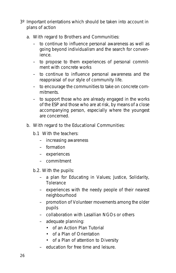- 3º Important orientations which should be taken into account in plans of action
	- **a. With regard to Brothers and Communities:**
		- to continue to influence personal awareness as well as going beyond individualism and the search for convenience.
		- to propose to them experiences of personal commitment with concrete works
		- to continue to influence personal awareness and the reappraisal of our style of community life.
		- to encourage the communities to take on concrete commitments.
		- to support those who are already engaged in the works of the ESP and those who are at risk, by means of a close accompanying person, especially where the youngest are concerned.

### **b. With regard to the Educational Communities:**

- b.1 With the teachers:
	- increasing awareness
	- formation
	- experiences
	- commitment

b.2. With the pupils:

- a plan for Educating in Values; Justice, Solidarity, Tolerance
- experiences with the needy people of their nearest neighbourhood
- promotion of Volunteer movements among the older pupils
- collaboration with Lasallian NGOs or others
- adequate planning:
	- of an Action Plan Tutorial
	- of a Plan of Orientation
	- of a Plan of attention to Diversity
- education for free time and leisure.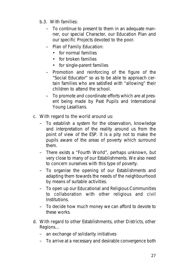- b.3. With families:
	- To continue to present to them in an adequate manner, our special Character, our Education Plan and our specific Projects devoted to the poor.
	- Plan of Family Education:
		- for normal families
		- for broken families
		- for single-parent families
	- Promotion and reinforcing of the figure of the "Social Educator" so as to be able to approach certain families who are satisfied with "allowing" their children to attend the school.
	- To promote and coordinate efforts which are at present being made by Past Pupils and International Young Lasallians.

## **c. With regard to the world around us:**

- To establish a system for the observation, knowledge and interpretation of the reality around us from the point of view of the ESP. It is a pity not to make the pupils aware of the areas of poverty which surround them.
- There exists a "Fourth World", perhaps unknown, but very close to many of our Establishments. We also need to concern ourselves with this type of poverty.
- To organise the opening of our Establishments and adapting them towards the needs of the neighbourhood by means of suitable activities.
- To open up our Educational and Religious Communities to collaboration with other religious and civil **Institutions**
- To decide how much money we can afford to devote to these works.
- **d. With regard to other Establishments, other Districts, other Regions…**
	- an exchange of solidarity initiatives
	- To arrive at a necessary and desirable convergence both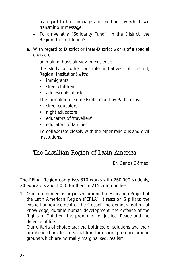as regard to the language and methods by which we transmit our message.

- To arrive at a "Solidarity Fund", in the District, the Region, the Institution?
- **e. With regard to District or Inter-District works of a special character:**
	- animating those already in existence
	- the study of other possible initiatives (of District, Region, Institution) with:
		- immigrants
		- street children
		- adolescents at risk
	- The formation of some Brothers or Lay Partners as:
		- street educators
		- night educators
		- educators of 'travellers'
		- educators of families
	- To collaborate closely with the other religious and civil institutions.

## The Lasallian Region of Latin America

Br. Carlos Gómez

The RELAL Region comprises 310 works with 260,000 students, 20 educators and 1.050 Brothers in 215 communities.

1. Our commitment is organised around the Education Project of the Latin American Region (PERLA). It rests on 5 pillars: the explicit announcement of the Gospel, the democratisation of knowledge, durable human development, the defence of the Rights of Children, the promotion of Justice, Peace and the defence of life.

Our criteria of choice are: the boldness of solutions and their prophetic character for social transformation, presence among groups which are normally marginalised, realism.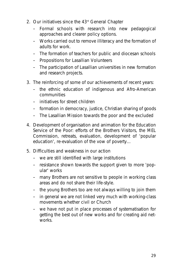- 2. Our initiatives since the 43rd General Chapter
	- Formal schools with research into new pedagogical approaches and clearer policy options.
	- Works carried out to remove illiteracy and the formation of adults for work.
	- The formation of teachers for public and diocesan schools
	- Propositions for Lasallian Volunteers
	- The participation of Lasallian universities in new formation and research projects.
- 3. The reinforcing of some of our achievements of recent years:
	- the ethnic education of indigenous and Afro-American communities
	- initiatives for street children
	- formation in democracy, justice, Christian sharing of goods
	- The Lasallian Mission towards the poor and the excluded
- 4. Development of organisation and animation for the Education Service of the Poor: efforts of the Brothers Visitors, the MEL Commission, retreats, evaluation, development of 'popular education', re-evaluation of the vow of poverty…
- 5. Difficulties and weakness in our action
	- we are still identified with large institutions
	- resistance shown towards the support given to more 'popular' works
	- many Brothers are not sensitive to people in working class areas and do not share their life-style.
	- the young Brothers too are not always willing to join them
	- in general we are not linked very much with working-class movements whether civil or Church
	- we have not put in place processes of systematisation for getting the best out of new works and for creating aid networks.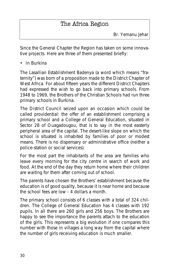## The Africa Region

Since the General Chapter the Region has taken on some innovative projects. Here are three of them presented briefly:

## **• In Burkina**

The Lasallian Establishment Badenya (a word which means "fraternity") was born of a proposition made to the District Chapter of West Africa. For about fifteen years the different District Chapters had expressed the wish to go back into primary schools. From 1948 to 1969, the Brothers of the Christian Schools had run three primary schools in Burkina.

The District Council seized upon an occasion which could be called providential: the offer of an establishment comprising a primary school and a College of General Education, situated in Sector 28 of Ouagadougou, that is to say in the most easterly peripheral area of the capital. The desert-like slope on which the school is situated is inhabited by families of poor or modest means. There is no dispensary or administrative office (neither a police-station or social services).

For the most part the inhabitants of the area are families who leave every morning for the city centre in search of work and food. At the end of the day they return home where their children are waiting for them after coming out of school.

The parents have chosen the Brothers' establishment because the education is of good quality, because it is near home and because the school fees are low - 4 dollars a month.

The primary school consists of 6 classes with a total of 324 children. The College of General Education has 4 classes with 192 pupils. In all there are 260 girls and 256 boys. The Brothers are happy to see the importance the parents attach to the education of the girls. This represents a big evolution if one compares this number with those in villages a long way from the capital where the number of girls receiving education is much smaller.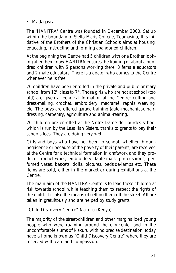## **• Madagascar**

The 'HANITRA' Centre was founded in December 2000. Set up within the boundary of Stella Maris College, Toamasina, this initiative of the Brothers of the Christian Schools aims at housing, educating, instructing and forming abandoned children.

At the beginning the Centre had 5 children with one Brother looking after them; now HANITRA ensures the training of about a hundred children with 5 persons working there: 3 female educators and 2 male educators. There is a doctor who comes to the Centre whenever he is free.

70 children have been enrolled in the private and public primary school from  $12<sup>th</sup>$  class to  $7<sup>th</sup>$ . Those girls who are not at school (too old) are given a technical formation at the Centre: cutting and dress-making, crochet, embroidery, macramé, raphia weaving, etc. The boys are offered garage-training (auto-mechanics), hairdressing, carpentry, agriculture and animal-rearing.

20 children are enrolled at the Notre Dame de Lourdes school which is run by the Lasallian Sisters, thanks to grants to pay their schools fees. They are doing very well.

Girls and boys who have not been to school, whether through negligence or because of the poverty of their parents, are received at the Centre for a technical formation in craftwork and they produce crochet-work, embroidery, table-mats, pin-cushions, perfumed vases, baskets, dolls, pictures, bedside-lamps etc. These items are sold, either in the market or during exhibitions at the Centre.

The main aim of the HANITRA Centre is to lead these children at risk towards school while teaching them to respect the rights of the child. It is also the means of getting them off the street. All are taken in gratuitously and are helped by study grants.

## **"Child Discovery Centre" Nakuru (Kenya)**

The majority of the street-children and other marginalized young people who were roaming around the city-center and in the uncomfortable slums of Nakuru with no precise destination, today have a home known as "Child Discovery Centre" where they are received with care and compassion.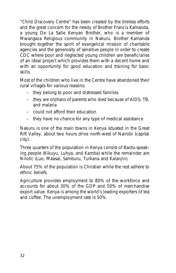"Child Discovery Centre" has been created by the tireless efforts and the great concern for the needy of Brother Francis Kamanda, a young De La Salle Kenyan Brother, who is a member of Mwangaza Religious community in Nakuru. Brother Kamanda brought together the spirit of evangelical mission of charitable agencies and the generosity of sensitive people in order to create CDC where poor and neglected young children are beneficiaries of an ideal project which provides them with a decent home and with an opportunity for good education and training for basic skills.

Most of the children who live in the Centre have abandoned their rural villages for various reasons:

- they belong to poor and distressed families
- they are orphans of parents who died because of AIDS, TB, and malaria
- could not afford their education
- they have no chance for any type of medical assistance

Nakuru is one of the main towns in Kenya situated in the Great Rift Valley, about two hours drive north-west of Nairobi (capital city).

Three quarters of the population in Kenya consist of Bantu-speaking people (Kikuyu, Luhya, and Kamba) while the remainder are Nilotic (Luo, Maasai, Samburu, Turkana and Kalanjin).

About 75% of the population is Christian while the rest adhere to ethnic beliefs.

Agriculture provides employment to 80% of the workforce and accounts for about 30% of the GDP and 50% of merchandise export value. Kenya is among the world's leading exporters of tea and coffee. The unemployment rate is 50%.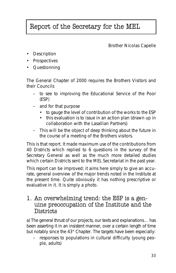## Report of the Secretary for the MEL

Brother Nicolas Capelle

- Description
- Prospectives
- Questionning

The General Chapter of 2000 requires the Brothers Visitors and their Councils

- to see to improving the Educational Service of the Poor (ESP)
- and for that purpose
	- to gauge the level of contribution of the works to the ESP
	- this evaluation is to issue in an action plan (drawn up in collaboration with the Lasallian Partners)
- This will be the object of deep thinking about the future in the course of a meeting of the Brothers visitors.

This is that report. It made maximum use of the contributions from 40 Districts which replied to 6 questions in the survey of the Secretary General as well as the much more detailed studies which certain Districts sent to the MEL Secretariat in the past year.

This report can be improved; it aims here simply to give an accurate, general overview of the major trends noted in the Institute at the present time. Quite obviously it has nothing prescriptive or evaluative in it. It is simply a photo.

## 1. An overwhelming trend: the ESP is a genuine preoccupation of the Institute and the Districts

a) The general thrust of our projects, our texts and explanations… has been asserting it in an insistent manner, over a certain length of time but notably since the 43<sup>rd</sup> Chapter. The targets have been especially:

– responses to populations in cultural difficulty (young people, adults)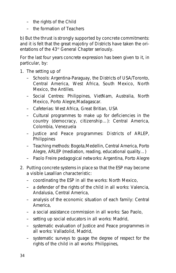- the rights of the Child
- the formation of Teachers

**b) But the thrust is strongly supported by concrete commitments:** and it is felt that the great majotiry of Districts have taken the orientations of the 43<sup>rd</sup> General Chapter seriously.

For the last four years concrete expression has been given to it, in particular, by:

- **1. The setting up of**
	- Schools: Argentina-Paraguay, the Districts of USA/Toronto, Central America, West Africa, South Mexico, North Mexico, the Antilles.
	- Social Centres: Philippines, VietNam, Australia, North Mexico, Porto Alegre,Madagascar.
	- Cafeterias: West Africa, Great Britian, USA
	- Cultural programmes to make up for deficiencies in the country (democracy, citizenship…): Central America, Colombia, Venezuela
	- Justice and Peace programmes: Districts of ARLEP, Philippines
	- Teaching methods: Bogota,Medellin, Central America, Porto Alegre, ARLEP (mediation, reading, educational quality…)
	- Paolo Freire pedagogical networks: Argentina, Porto Alegre

### **2. Putting concrete systems in place so that the ESP may become a visible Lasallian characteristic:**

- coordinating the ESP in all the works: North Mexico,
- a defender of the rights of the child in all works: Valencia, Andalusia, Central America,
- analysis of the economic situation of each family: Central America,
- a social assistance commission in all works: Sao Paolo,
- setting up social educators in all works: Madrid,
- systematic evaluation of Justice and Peace programmes in all works: Valladolid, Madrid,
- systematic surveys to guage the degree of respect for the rights of the child in all works: Philippines,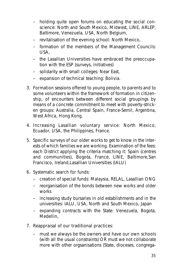- holding quite open forums on *educating the social conscience*: North and South Mexico, Midwest, LINE, ARLEP, Baltimore, Venezuela, USA, North Belgium,
- revitalisation of the evening school: North Mexico,
- formation of the members of the Management Councils: USA,
- the Lasallian Universities have embraced the preoccupation with the ESP (surveys, initiatives)
- solidarity with small colleges: Near East,
- expansion of technical teaching: Bolivia.
- **3. Formation sessions offered to young people, to parents and to some volunteers** within the framework of formation in citizenship, of encounters between different social groupings by means of a concrete commitment to meet with poverty-stricken groups: Australia, Central Spain, France-Semil, Argentina, West Africa, Hong Kong.
- **4. Increasing Lasallian voluntary service**: North Mexico, Ecuador, USA, the Philippines, France.
- **5. Specific surveys of our older works** to get to know in the interests of which families we are working. Examination of the fees: each District applying the criteria matching it: Spain (centres and communities), Bogota, France, LINE, Baltimore,San Francisco, Ireland,Lasallian Universities (IALU)
- **6. Systematic search for funds:**
	- creation of special funds: Malaysia, RELAL, Lasallian ONG
	- reorganisation of the bonds between new works and older works
	- increasing study bursaries in old establishments and in the universities: IALU, USA, North and South Mexico, Japan
	- expanding contracts with the State: Venezuela, Bogota, Medellin,
- **7. Reappraisal of our traditional practices:**
	- must we always be the owners and have our own schools (with all the usual constraints) OR must we not collaborate more with other orgsanisations (State, dioceses, congrega-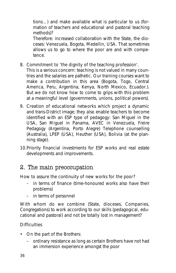tions…) and make available what is particular to us (formation of teachers and educational and pastoral teaching methods)?

Therefore: increased collaboration with the State, the dioceses: Venezuela, Bogota, Medellin, USA. That sometimes allows us to go to where the poor are and with competence.

## **8. Commitment to 'the dignity of the teaching profession'.**

This is a serious concern: teaching is not valued in many countries and the salaries are pathetic. Our training courses want to make a contribution in this area (Bogota, Togo, Central America, Peru, Argentina, Kenya, North Mexico, Ecuador.). But we do not know how to come to grips with this problem at a meaningful level (governments, unions, political powers).

- **9. Creation of educational networks** which project a dynamic and trans-District image; they also enable teachers to become identified with an ESP type of pedagogy: San Miguel in the USA, San Miguel in Panama, AVEC in Venezuela, Freire Pedagogy (Argentina, Porto Alegre) Telephone counselling (Australia), LPEP (USA), Heuther (USA), Bolivia (at the planning stage).
- 10.Priority **financial investments** for ESP works and real estate developments and improvements.

## 2. The main preoccupation

### **How to assure the continuity of new works for the poor?**

- in terms of finance (time-honoured works also have their problems)
- in terms of personnel

**With whom do we combine** (State, dioceses, Companies, Congregations) to work according to our skills (pedagogical, educational and pastoral) and not be totally lost in management?

## **Difficulties**

- *On the part of the Brothers:*
	- ordinary resistance as long as certain Brothers have not had an immersion experience amongst the poor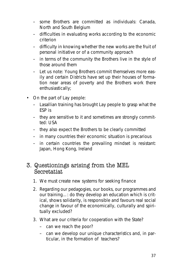- some Brothers are committed as individuals: Canada, North and South Belgium
- difficulties in evaluating works according to the economic criterion
- difficulty in knowing whether the new works are the fruit of personal initiative or of a community approach
- in terms of the community the Brothers live in the style of those around them
- **Let us note**: Young Brothers commit themselves more easily and certain Districts have set up their houses of formation near areas of poverty and the Brothers work there enthusiastically;
- *On the part of Lay people:*
	- Lasallian training has brought Lay people to grasp what the ESP is
	- they are sensitive to it and sometimes are strongly committed: USA
	- they also expect the Brothers to be clearly committed
	- in many countries their economic situation is precarious
	- in certain countries the prevailing mindset is resistant: Japan, Hong Kong, Ireland

## 3. Questionings arising from the MEL Secretatiat

- 1. We must create new systems for seeking finance
- 2. Regarding our pedagogies, our books, our programmes and our training…: do they develop an education which is critical, shows solidarity, is responsible and favours real social change in favour of the economically, culturally and spiritually excluded?
- 3. What are our criteria for cooperation with the State?
	- can we reach the poor?
	- can we develop our unique characteristics and, in particular, in the formation of teachers?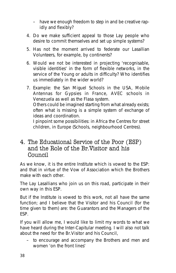- have we enough freedom to step in and be creative rapidly and flexibly?
- 4. Do we make sufficient appeal to those Lay people who desire to commit themselves and set up simple systems?
- 5. Has not the moment arrived to federate our Lasallian Volunteers, for example, by continents?
- 6. Would we not be interested in projecting 'recognisable, visible identities' in the form of flexible networks, in the service of the Young or adults in difficulty? Who identifies us immediately in the wider world?
- 7. Example: the San Miguel Schools in the USA, Mobile Antennas for Gypsies in France, AVEC schools in Venezuela as well as the Flasa system. Others could be imagined starting from what already exists; often what is missing is a simple system of exchange of ideas and coordination.

I pinpoint some possibilities: in Africa the Centres for street children, in Europe (Schools, neighbourhood Centres).

## 4. The Educational Service of the Poor (ESP) and the Role of the Br.Visitor and his Council

As we know, it is the entire Institute which is vowed to the ESP: and that in virtue of the Vow of Association which the Brothers make with each other.

The Lay Lasallians who join us on this road, participate in their own way in this ESP.

But if the Institute is vowed to this work, not all have the same function; and I believe that the Visitor and his Council (for the time given to them) are: the Guarantors and the Managers of the ESP.

If you will allow me, I would like to limit my words to what we have heard during the Inter-Capitular meeting. I will also not talk about the need for the Br.Visitor and his Council,

– to encourage and accompany the Brothers and men and women 'on the front lines'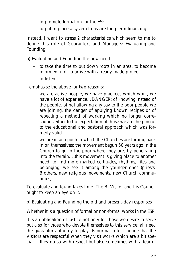- to promote formation for the ESP
- to put in place a system to assure long-term financing

#### **Instead, I want to stress 2 characteristics which seem to me to define this role of Guarantors and Managers:** Evaluating and Founding

#### **a) Evaluating and Founding the new need**

- to take the time to put down roots in an area, to become informed, not to arrive with a ready-made project
- to listen

I emphasise the above for two reasons:

- we are active people, we have practices which work, we have a lot of experience…DANGER: of knowing instead of the people, of not allowing any say to the poor people we are joining, the danger of applying known recipes or of repeating a method of working which no longer corresponds either to the expectation of those we are helping or to the educational and pastoral approach which was formerly valid.
- we are in an epoch in which the Churches are turning back in on themselves: the movement begun 50 years ago in the Church to go to the poor where they are, by penetrating into the terrain….this movement is giving place to another need: to find more marked certitudes, rhythms, rites and belonging; we see it among the younger ones (priests, Brothers, new religious movements, new Church communities).

To evaluate and found takes time. The Br.Visitor and his Council ought to keep an eye on it.

#### **b) Evaluating and Founding the old and present-day responses**

Whether it is a question of formal or non-formal works in the ESP.

It is an obligation of justice not only for those we desire to serve but also for those who devote themselves to this service: all need the guarantor authority to play its normal role. I notice that the Visitors are respectful when they visit works which are a bit special… they do so with respect but also sometimes with a fear of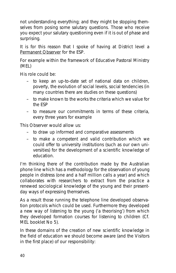not understanding everything; and they might be stopping themselves from posing some salutary questions. Those who receive you expect your salutary questioning even if it is out of phase and surprising.

It is for this reason that I spoke of having at District level a Permanent Observer for the ESP.

For example within the framework of Educative Pastoral Ministry (MEL)

His role could be:

- to keep an up-to-date set of national data on children, poverty, the evolution of social levels, social tendencies (in many countries there are studies on these questions)
- to make known to the works the criteria which we value for the ESP
- to measure our commitments in terms of these criteria, every three years for example

This Observer would allow us:

- to draw up informed and comparative assessments
- to make a competent and valid contribution which we could offer to university institutions (such as our own universities) for the development of a scientific knowledge of education.

I'm thinking there of the contribution made by the Australian phone line which has a methodology for the observation of young people in distress (one and a half million calls a year) and which collaborates with researchers to extract from the practice a renewed sociological knowledge of the young and their presentday ways of expressing themselves.

As a result those running the telephone line developed observation protocols which could be used. Furthermore they developed a new way of listening to the young ('a theorising') from which they developed formation courses for listening to children (Cf. MEL booklet No 5).

In these domains of the creation of new scientific knowledge in the field of education we should become aware (and the Visitors in the first place) of our responsibility: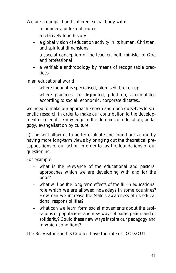We are a compact and coherent social body with:

- a founder and textual sources
- a relatively long history
- a global vision of education activity in its human, Christian, and spiritual dimensions
- a special conception of the teacher, both minister of God and professional
- a verifiable anthropology by means of recognisable practices

In an educational world

- where thought is specialised, atomised, broken up
- where practices are disjointed, piled up, accumulated according to social, economic, corporate dictates…

we need to make our approach known and open ourselves to scientific research in order to make our contribution to the development of scientific knowledge in the domains of education, pedagogy, evangelisation by culture.

**c) This will allow us to better evaluate and found our action by having** more long-term views by bringing out the theoretical presuppositions of our action in order to lay the foundations of our questioning.

For example:

- what is the relevance of the educational and pastoral approaches which we are developing with and for the poor?
- what will be the long term effects of the fill-in educational role which we are allowed nowadays in some countries? How can we increase the State's awareness of its educational responsibilities?
- what can we learn form social movements about the aspirations of populations and new ways of participation and of solidarity? Could these new ways inspire our pedagogy and in which conditions?

### **The Br. Visitor and his Council have the role of LOOKOUT.**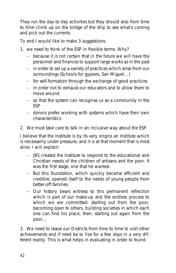They run the day-to-day activities but they should also from time to time climb up on the bridge of the ship to see what's coming and pick out the currents.

## **To end I would like to make 3 suggestions:**

- 1. we need to think of the ESP in flexible terms. Why?
	- because it is not certain that in the future we will have the personnel and finances to support large works as in the past
	- in order to set up a variety of practices which arise from our surroundings (Schools for gypsies, San Miguel...)
	- for self-formation through the exchange of good practices
	- in order not to exhaust our educators and to allow them to move around
	- so that the system can recognise us as a community in the ESP
	- donors prefer working with systems which have their own characteristics
- 2. We must take care to talk in an inclusive way about the ESP.

I believe that the Institute is by its very origins an Institute which is necessarily under pressure; and it is at that moment that is most alive. I will explain:

- JBS created the Institute to respond to the educational and Christian needs of the children of artisans and the poor. It was the first stage, one that he wanted.
- But this foundation, which quickly became efficient and credible, opened itself to the needs of young people from better-off families.
- Our history bears witness to this permanent reflection which is part of our make-up and the endless process to which we are committed: starting out from the poor, becoming open to others, building societies in which each one can find his place, then: starting out again from the poor…

3. We need to leave our Districts from time to time to visit other achievements and if need be to live for a few days in a very different reality. This is what helps in evaluating in order to found.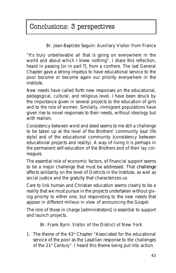## Conclusions: 3 perspectives

## **Br. Jean-Baptiste Seguin: Auxiliary Visitor from France**

"It's truly unbelievable all that is going on everywhere in the world and about which I knew nothing". I share this reflection, heard in passing [or in part ?], from a confrere. The last General Chapter gave a strong impetus to have educational service to the poor become or become again our priority everywhere in the Institute.

New needs have called forth new responses on the educational, pedagogical, cultural, and religious level. I have been struck by the importance given in several projects to the education of girls and to the role of women. Similarly, immigrant populations have given rise to novel responses to their needs, without ideology but with realism.

Consistency between word and deed seems to me still a challenge to be taken up at the level of the Brothers' community (*our* life style) and of the educational community (consistency between educational projects and reality). A way of living it is perhaps in the permanent self-education of the Brothers and of their lay colleagues.

The essential role of economic factors, of financial support seems to be a major challenge that must be addressed. That *challenge* affects solidarity on the level of Districts in the Institute, as well as social justice and the gratuity that characterizes us.

Care to link human and Christian education seems clearly to be a reality that we must pursue in the projects undertaken without giving priority to either one, but responding to the new needs that appear in different milieux in view of announcing the Gospel.

The role of those in charge [administrators] is essential to support and launch projects.

### **Br. Frank Byrn: Visitor of the District of New York**

1. The theme of the 43rd Chapter "Associated for the educational service of the poor as the Lasallian response to the challenges of the 21<sup>st</sup> Century". I heard this theme being put into action.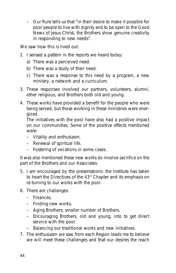– Our Rule tells us that "in their desire to make it possible for poor people to live with dignity and to be open to the Good News of Jesus Christ, the Brothers show genuine creativity in responding to new needs".

We saw how this is lived out.

- 2. I sensed a pattern in the reports we heard today:
	- a) There was a perceived need.
	- b) There was a study of their need.
	- c) There was a response to this need by a program, a new ministry, a network and a curriculum.
- 3. These responses involved our partners, volunteers, alumni, other religious, and Brothers both old and young.
- 4. These works have provided a benefit for the people who were being served, but those working in these ministries were energized.

The initiatives with the poor have also had a positive impact on our communities. Some of the positive effects mentioned were:

- Vitality and enthusiasm.
- Renewal of spiritual life.
- Fostering of vocations in some cases.

It was also mentioned these new works do involve sacrifice on the part of the Brothers and our Associates.

- 5. I am encouraged by the presentations: the Institute has taken to heart the Directives of the 43<sup>rd</sup> Chapter and its emphasis on re-turning to our works with the poor.
- 6. There are challenges:
	- Finances.
	- Finding new works.
	- Aging Brothers; smaller number of Brothers.
	- Encouraging Brothers, old and young, into to get direct service with the poor.
	- Balancing our traditional works and new initiatives.
- 7. The enthusiasm we saw from each Region leads me to believe we will meet these challenges and that our desires the reach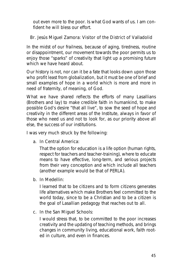out even more to the poor. Is what God wants of us. I am confident he will bless our effort.

## **Br. Jesús Miguel Zamora: Visitor of the District of Valladolid**

In the midst of our frailness, because of aging, tiredness, routine or disappointment, our movement towards the poor permits us to enjoy those "sparks" of creativity that light up a promising future which we have heard about.

Our history is not, nor can it be a fate that looks down upon those who profit least from globalization, but it must be one of brief and small examples of hope in a world which is more and more in need of fraternity, of meaning, of God.

What we have shared reflects the efforts of many Lasallians (Brothers and lay) to make credible faith in humankind, to make possible God's desire "that all live", to sow the seed of hope and creativity in the different areas of the Institute, always in favor of those who need us and not to look for, as our priority above all else, the success of our institutions.

I was very much struck by the following:

### **a. In Central America:**

That the option for education is a life option (human rights, respect for teachers and teacher-training), where to educate means to have effective, long-term, and serious projects from their very conception and which include all teachers (another example would be that of PERLA).

### **b. In Medellin:**

I learned that to be citizens and to form citizens generates life alternatives which make Brothers feel committed to the world today, since to be a Christian and to be a citizen is the goal of Lasallian pedagogy that reaches out to all.

### **c. In the San Miguel Schools:**

I would stress that, to be committed to the poor increases creativity and the updating of teaching methods, and brings changes in community living, educational work, faith rooted in culture, and even in finances.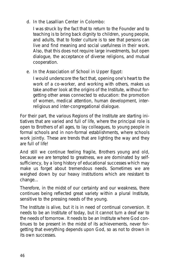## **d. In the Lasallian Center in Colombo:**

I was struck by the fact that to return to the Founder and to teaching is to bring back dignity to children, young people, and adults, that to foster culture is to see that persons can live and find meaning and social usefulness in their work. Also, that this does not require large investments, but open dialogue, the acceptance of diverse religions, and mutual cooperation.

## **e. In the Association of School in Upper Egypt:**

I would underscore the fact that, opening one's heart to the work of a co-worker, and working with others, makes us take another look at the origins of the Institute, without forgetting other areas connected to education: the promotion of women, medical attention, human development, interreligious and inter-congregational dialogue.

For their part, the various Regions of the Institute are starting initiatives that are varied and full of life, where the principal role is open to Brothers of all ages, to lay colleagues, to young people in formal schools and in non-formal establishments, where schools work jointly. These are trends that are lighting the way and they are full of life!

And still we continue feeling fragile, Brothers young and old, because we are tempted to greatness, we are dominated by selfsufficiency, by a long history of educational successes which may make us forget about tremendous needs. Sometimes we are weighed down by our heavy institutions which are resistant to change...

Therefore, in the midst of our certainty and our weakness, there continues being reflected great variety within a plural Institute, sensitive to the pressing needs of the young.

The Institute is alive, but it is in need of continual conversion. It needs to be an Institute of today, but it cannot turn a deaf ear to the needs of tomorrow. It needs to be an Institute where God continues to be present in the midst of its achievements, never forgetting that everything depends upon God, so as not to drown in its own successes.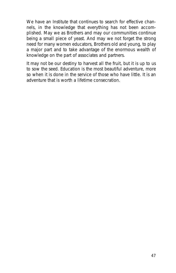We have an Institute that continues to search for effective channels, in the knowledge that everything has not been accomplished. May we as Brothers and may our communities continue being a small piece of yeast. And may we not forget the strong need for many women educators, Brothers old and young, to play a major part and to take advantage of the enormous wealth of knowledge on the part of associates and partners.

It may not be our destiny to harvest all the fruit, but it is up to us to sow the seed. Education is the most beautiful adventure, more so when it is done in the service of those who have little. It is an adventure that is worth a lifetime consecration.